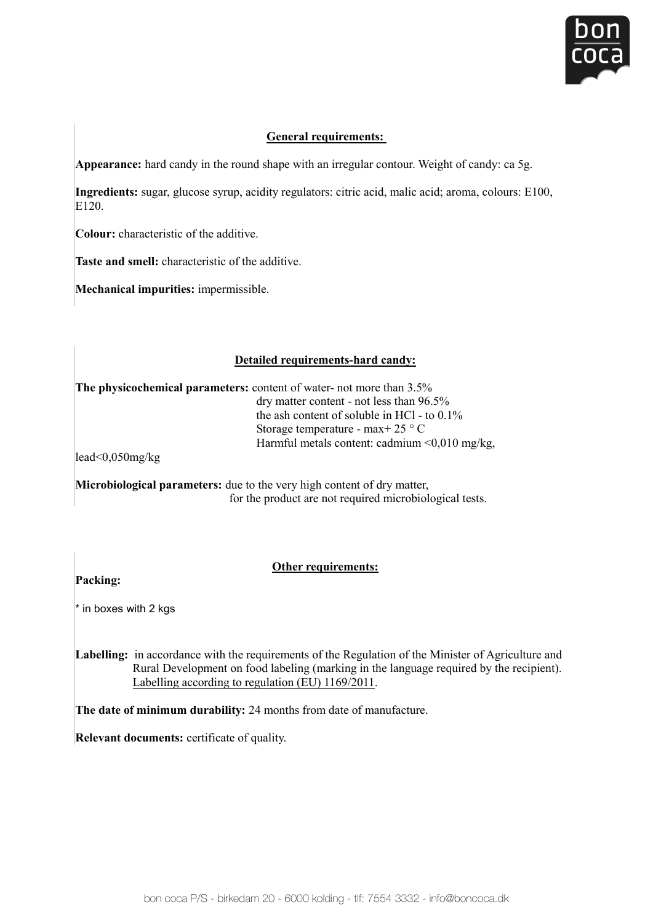

# **General requirements:**

Appearance: hard candy in the round shape with an irregular contour. Weight of candy: ca 5g.

**Ingredients:** sugar, glucose syrup, acidity regulators: citric acid, malic acid; aroma, colours: E100, E<sub>120</sub>

**Colour:** characteristic of the additive.

**Taste and smell:** characteristic of the additive.

**Mechanical impurities:** impermissible.

# **Detailed requirements-hard candy:**

The physicochemical parameters: content of water- not more than 3.5% dry matter content - not less than 96.5% the ash content of soluble in HCl - to  $0.1\%$ Storage temperature - max+ 25 ° C Harmful metals content: cadmium <0,010 mg/kg,

lead<0,050mg/kg

for the product are not required microbiological tests. **Microbiological parameters:** due to the very high content of dry matter, lead<0,050mg/kg

#### **Other requirements:**

 **Packing: Labelling:** in accordance with the requirements of the Regulation of the Regulation of the Minister of Agriculture and Agriculture and Agriculture and Agriculture and Agriculture and Agriculture and Agriculture and Agricu

 $R_{\text{R}}$  in the labeling in the labeling in the recipient of the recipient  $\Omega$  the recipient).  $\overline{E}$  and  $\overline{E}$  and  $\overline{E}$  regulation (EU) 1169/2011. \* in boxes with 2 kgs Labelling: **in accordance with the regulation of the Regulation of the Regulation of the Minister of Agriculture and Agriculture and Agriculture and Agriculture and Agriculture and Agriculture and Agriculture and Agricultu** 

**The date of minimum durability:** 24 months from date of manufacture. Labelling according to regulation (EU) 1169/2011. Rural Development on food labeling (marking in the language required by the recipient). **Labelling:** in accordance with the requirements of the Regulation of the Minister of Agriculture and Labelling according to regulation (EU) 1169/2011.

**The date of minimum durability:** 24 months from date of manufacture.

**Relevant documents:** certificate of quality.